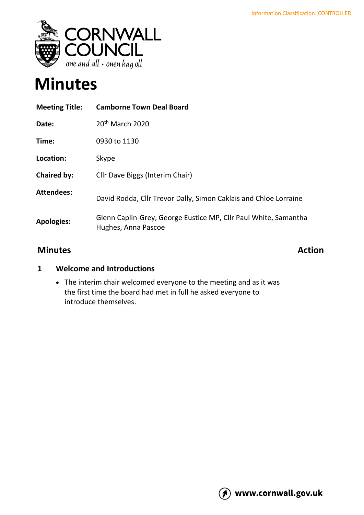

# **Minutes**

| <b>Meeting Title:</b> | <b>Camborne Town Deal Board</b>                                                        |
|-----------------------|----------------------------------------------------------------------------------------|
| Date:                 | $20th$ March 2020                                                                      |
| Time:                 | 0930 to 1130                                                                           |
| Location:             | Skype                                                                                  |
| <b>Chaired by:</b>    | Cllr Dave Biggs (Interim Chair)                                                        |
| <b>Attendees:</b>     | David Rodda, Cllr Trevor Dally, Simon Caklais and Chloe Lorraine                       |
| <b>Apologies:</b>     | Glenn Caplin-Grey, George Eustice MP, Cllr Paul White, Samantha<br>Hughes, Anna Pascoe |

#### **Minutes Action**

#### **1 Welcome and Introductions**

• The interim chair welcomed everyone to the meeting and as it was the first time the board had met in full he asked everyone to introduce themselves.

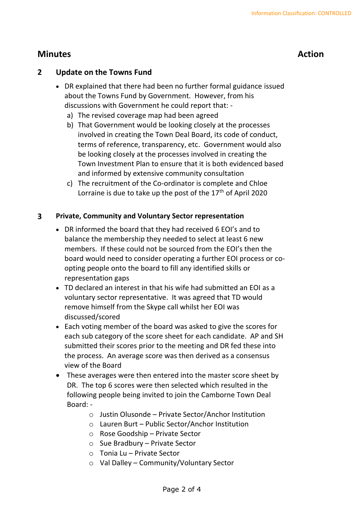### **Minutes Action**

#### **2 Update on the Towns Fund**

- DR explained that there had been no further formal guidance issued about the Towns Fund by Government. However, from his discussions with Government he could report that:
	- a) The revised coverage map had been agreed
	- b) That Government would be looking closely at the processes involved in creating the Town Deal Board, its code of conduct, terms of reference, transparency, etc. Government would also be looking closely at the processes involved in creating the Town Investment Plan to ensure that it is both evidenced based and informed by extensive community consultation
	- c) The recruitment of the Co-ordinator is complete and Chloe Lorraine is due to take up the post of the  $17<sup>th</sup>$  of April 2020

#### **3 Private, Community and Voluntary Sector representation**

- DR informed the board that they had received 6 EOI's and to balance the membership they needed to select at least 6 new members. If these could not be sourced from the EOI's then the board would need to consider operating a further EOI process or coopting people onto the board to fill any identified skills or representation gaps
- TD declared an interest in that his wife had submitted an EOI as a voluntary sector representative. It was agreed that TD would remove himself from the Skype call whilst her EOI was discussed/scored
- Each voting member of the board was asked to give the scores for each sub category of the score sheet for each candidate. AP and SH submitted their scores prior to the meeting and DR fed these into the process. An average score was then derived as a consensus view of the Board
- These averages were then entered into the master score sheet by DR. The top 6 scores were then selected which resulted in the following people being invited to join the Camborne Town Deal Board:
	- o Justin Olusonde Private Sector/Anchor Institution
	- o Lauren Burt Public Sector/Anchor Institution
	- o Rose Goodship Private Sector
	- o Sue Bradbury Private Sector
	- o Tonia Lu Private Sector
	- o Val Dalley Community/Voluntary Sector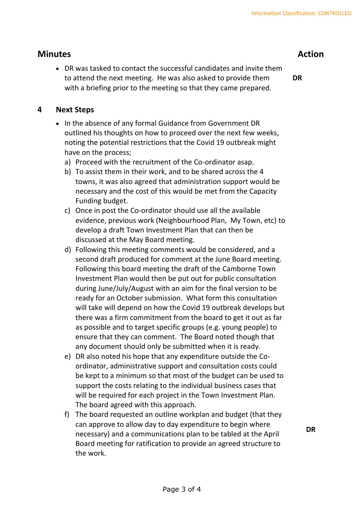#### **Minutes Action**

• DR was tasked to contact the successful candidates and invite them to attend the next meeting. He was also asked to provide them with a briefing prior to the meeting so that they came prepared.

**DR**

#### **4 Next Steps**

- In the absence of any formal Guidance from Government DR outlined his thoughts on how to proceed over the next few weeks, noting the potential restrictions that the Covid 19 outbreak might have on the process;
	- a) Proceed with the recruitment of the Co-ordinator asap.
	- b) To assist them in their work, and to be shared across the 4 towns, it was also agreed that administration support would be necessary and the cost of this would be met from the Capacity Funding budget.
	- c) Once in post the Co-ordinator should use all the available evidence, previous work (Neighbourhood Plan, My Town, etc) to develop a draft Town Investment Plan that can then be discussed at the May Board meeting.
	- d) Following this meeting comments would be considered, and a second draft produced for comment at the June Board meeting. Following this board meeting the draft of the Camborne Town Investment Plan would then be put out for public consultation during June/July/August with an aim for the final version to be ready for an October submission. What form this consultation will take will depend on how the Covid 19 outbreak develops but there was a firm commitment from the board to get it out as far as possible and to target specific groups (e.g. young people) to ensure that they can comment. The Board noted though that any document should only be submitted when it is ready.
	- e) DR also noted his hope that any expenditure outside the Coordinator, administrative support and consultation costs could be kept to a minimum so that most of the budget can be used to support the costs relating to the individual business cases that will be required for each project in the Town Investment Plan. The board agreed with this approach.
	- f) The board requested an outline workplan and budget (that they can approve to allow day to day expenditure to begin where necessary) and a communications plan to be tabled at the April Board meeting for ratification to provide an agreed structure to the work.

**DR**